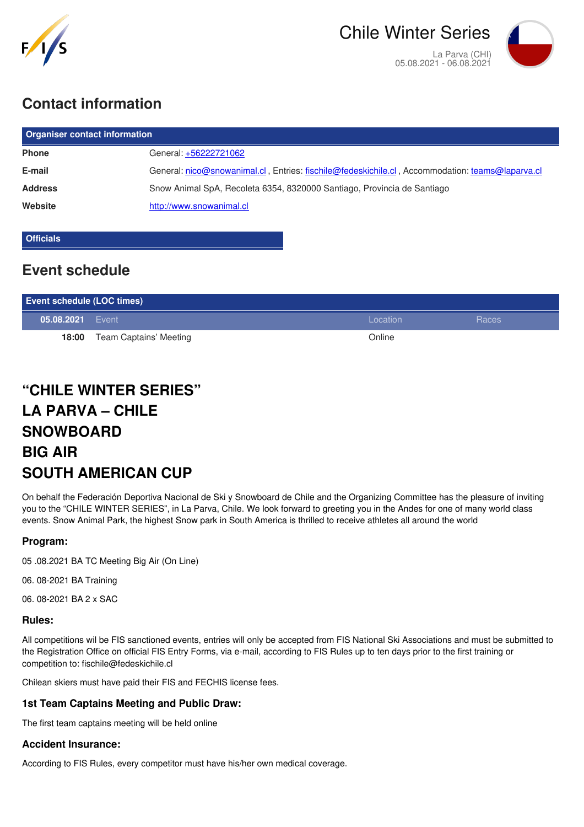

# **Contact information**

| <b>Organiser contact information</b> |                                                                                                 |  |  |
|--------------------------------------|-------------------------------------------------------------------------------------------------|--|--|
| <b>Phone</b>                         | General: +56222721062                                                                           |  |  |
| E-mail                               | General: nico@snowanimal.cl, Entries: fischile@fedeskichile.cl, Accommodation: teams@laparva.cl |  |  |
| <b>Address</b>                       | Snow Animal SpA, Recoleta 6354, 8320000 Santiago, Provincia de Santiago                         |  |  |
| Website                              | http://www.snowanimal.cl                                                                        |  |  |
|                                      |                                                                                                 |  |  |

### **Officials**

## **Event schedule**

| <b>Event schedule (LOC times)</b> |                        |          |       |
|-----------------------------------|------------------------|----------|-------|
| 05.08.2021 Event                  |                        | Location | Races |
| 18:00                             | Team Captains' Meeting | Online   |       |

# **"CHILE WINTER SERIES" LA PARVA – CHILE SNOWBOARD BIG AIR SOUTH AMERICAN CUP**

On behalf the Federación Deportiva Nacional de Ski y Snowboard de Chile and the Organizing Committee has the pleasure of inviting you to the "CHILE WINTER SERIES", in La Parva, Chile. We look forward to greeting you in the Andes for one of many world class events. Snow Animal Park, the highest Snow park in South America is thrilled to receive athletes all around the world

### **Program:**

05 .08.2021 BA TC Meeting Big Air (On Line)

06. 08-2021 BA Training

06. 08-2021 BA 2 x SAC

#### **Rules:**

All competitions wil be FIS sanctioned events, entries will only be accepted from FIS National Ski Associations and must be submitted to the Registration Office on official FIS Entry Forms, via e-mail, according to FIS Rules up to ten days prior to the first training or competition to: fischile@fedeskichile.cl

Chilean skiers must have paid their FIS and FECHIS license fees.

#### **1st Team Captains Meeting and Public Draw:**

The first team captains meeting will be held online

#### **Accident Insurance:**

According to FIS Rules, every competitor must have his/her own medical coverage.